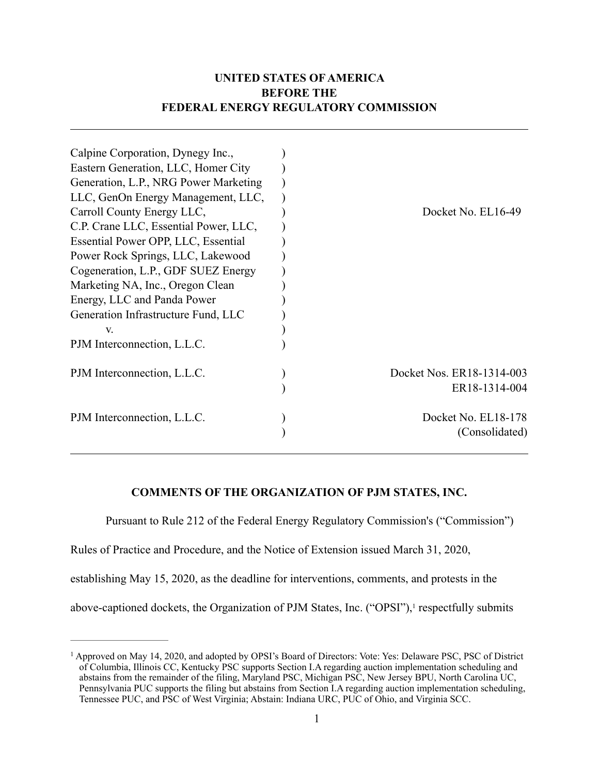# **UNITED STATES OF AMERICA BEFORE THE FEDERAL ENERGY REGULATORY COMMISSION**

| Calpine Corporation, Dynegy Inc.,     |                           |
|---------------------------------------|---------------------------|
| Eastern Generation, LLC, Homer City   |                           |
| Generation, L.P., NRG Power Marketing |                           |
| LLC, GenOn Energy Management, LLC,    |                           |
| Carroll County Energy LLC,            | Docket No. EL16-49        |
| C.P. Crane LLC, Essential Power, LLC, |                           |
| Essential Power OPP, LLC, Essential   |                           |
| Power Rock Springs, LLC, Lakewood     |                           |
| Cogeneration, L.P., GDF SUEZ Energy   |                           |
| Marketing NA, Inc., Oregon Clean      |                           |
| Energy, LLC and Panda Power           |                           |
| Generation Infrastructure Fund, LLC   |                           |
| V.                                    |                           |
| PJM Interconnection, L.L.C.           |                           |
| PJM Interconnection, L.L.C.           | Docket Nos. ER18-1314-003 |
|                                       | ER18-1314-004             |
| PJM Interconnection, L.L.C.           | Docket No. EL18-178       |
|                                       | (Consolidated)            |

## **COMMENTS OF THE ORGANIZATION OF PJM STATES, INC.**

Pursuant to Rule 212 of the Federal Energy Regulatory Commission's ("Commission")

Rules of Practice and Procedure, and the Notice of Extension issued March 31, 2020,

establishing May 15, 2020, as the deadline for interventions, comments, and protests in the

above-captioned dockets, the Organization of PJM States, Inc. ("OPSI"), respectfully submits

<sup>&</sup>lt;sup>1</sup> Approved on May 14, 2020, and adopted by OPSI's Board of Directors: Vote: Yes: Delaware PSC, PSC of District of Columbia, Illinois CC, Kentucky PSC supports Section I.A regarding auction implementation scheduling and abstains from the remainder of the filing, Maryland PSC, Michigan PSC, New Jersey BPU, North Carolina UC, Pennsylvania PUC supports the filing but abstains from Section I.A regarding auction implementation scheduling, Tennessee PUC, and PSC of West Virginia; Abstain: Indiana URC, PUC of Ohio, and Virginia SCC.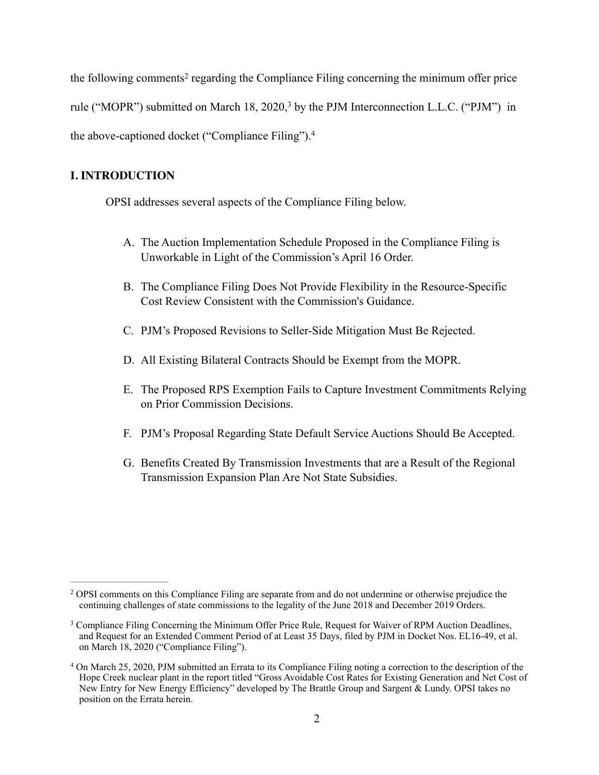the following comments<sup>2</sup> regarding the Compliance Filing concerning the minimum offer price rule ("MOPR") submitted on March 18, 2020,<sup>3</sup> by the PJM Interconnection L.L.C. ("PJM") in the above-captioned docket ("Compliance Filing"). 4

### **I. INTRODUCTION**

OPSI addresses several aspects of the Compliance Filing below.

- A. The Auction Implementation Schedule Proposed in the Compliance Filing is Unworkable in Light of the Commission's April 16 Order.
- B. The Compliance Filing Does Not Provide Flexibility in the Resource-Specific Cost Review Consistent with the Commission's Guidance.
- C. PJM's Proposed Revisions to Seller-Side Mitigation Must Be Rejected.
- D. All Existing Bilateral Contracts Should be Exempt from the MOPR.
- E. The Proposed RPS Exemption Fails to Capture Investment Commitments Relying on Prior Commission Decisions.
- F. PJM's Proposal Regarding State Default Service Auctions Should Be Accepted.
- G. Benefits Created By Transmission Investments that are a Result of the Regional Transmission Expansion Plan Are Not State Subsidies.

OPSI comments on this Compliance Filing are separate from and do not undermine or otherwise prejudice the 2 continuing challenges of state commissions to the legality of the June 2018 and December 2019 Orders.

<sup>&</sup>lt;sup>3</sup> Compliance Filing Concerning the Minimum Offer Price Rule, Request for Waiver of RPM Auction Deadlines, and Request for an Extended Comment Period of at Least 35 Days, filed by PJM in Docket Nos. EL16-49, et al. on March 18, 2020 ("Compliance Filing").

On March 25, 2020, PJM submitted an Errata to its Compliance Filing noting a correction to the description of the 4 Hope Creek nuclear plant in the report titled "Gross Avoidable Cost Rates for Existing Generation and Net Cost of New Entry for New Energy Efficiency" developed by The Brattle Group and Sargent & Lundy. OPSI takes no position on the Errata herein.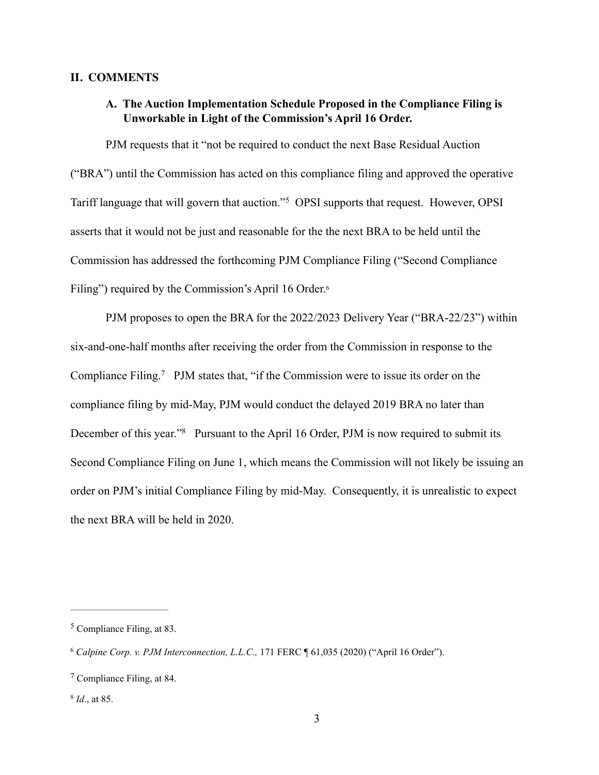### **II. COMMENTS**

## **A. The Auction Implementation Schedule Proposed in the Compliance Filing is Unworkable in Light of the Commission's April 16 Order.**

PJM requests that it "not be required to conduct the next Base Residual Auction ("BRA") until the Commission has acted on this compliance filing and approved the operative Tariff language that will govern that auction."<sup>5</sup> OPSI supports that request. However, OPSI asserts that it would not be just and reasonable for the the next BRA to be held until the Commission has addressed the forthcoming PJM Compliance Filing ("Second Compliance Filing") required by the Commission's April 16 Order.<sup>6</sup>

PJM proposes to open the BRA for the 2022/2023 Delivery Year ("BRA-22/23") within six-and-one-half months after receiving the order from the Commission in response to the Compliance Filing.<sup>7</sup> PJM states that, "if the Commission were to issue its order on the compliance filing by mid-May, PJM would conduct the delayed 2019 BRA no later than December of this year."<sup>8</sup> Pursuant to the April 16 Order, PJM is now required to submit its Second Compliance Filing on June 1, which means the Commission will not likely be issuing an order on PJM's initial Compliance Filing by mid-May. Consequently, it is unrealistic to expect the next BRA will be held in 2020.

 $5$  Compliance Filing, at 83.

*Calpine Corp. v. PJM Interconnection, L.L.C.,* 171 FERC ¶ 61,035 (2020) ("April 16 Order"). 6

 $7$  Compliance Filing, at 84.

<sup>&</sup>lt;sup>8</sup> *Id.*, at 85.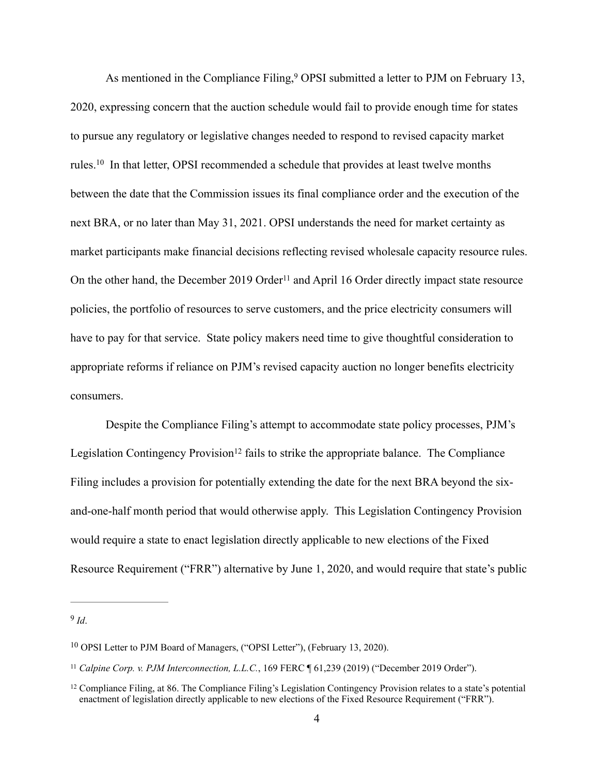As mentioned in the Compliance Filing,  $9$  OPSI submitted a letter to PJM on February 13, 2020, expressing concern that the auction schedule would fail to provide enough time for states to pursue any regulatory or legislative changes needed to respond to revised capacity market rules.<sup>10</sup> In that letter, OPSI recommended a schedule that provides at least twelve months between the date that the Commission issues its final compliance order and the execution of the next BRA, or no later than May 31, 2021. OPSI understands the need for market certainty as market participants make financial decisions reflecting revised wholesale capacity resource rules. On the other hand, the December 2019 Order<sup>11</sup> and April 16 Order directly impact state resource policies, the portfolio of resources to serve customers, and the price electricity consumers will have to pay for that service. State policy makers need time to give thoughtful consideration to appropriate reforms if reliance on PJM's revised capacity auction no longer benefits electricity consumers.

Despite the Compliance Filing's attempt to accommodate state policy processes, PJM's Legislation Contingency Provision<sup>12</sup> fails to strike the appropriate balance. The Compliance Filing includes a provision for potentially extending the date for the next BRA beyond the sixand-one-half month period that would otherwise apply. This Legislation Contingency Provision would require a state to enact legislation directly applicable to new elections of the Fixed Resource Requirement ("FRR") alternative by June 1, 2020, and would require that state's public

 $9$   $Id$ .

<sup>&</sup>lt;sup>10</sup> OPSI Letter to PJM Board of Managers, ("OPSI Letter"), (February 13, 2020).

<sup>&</sup>lt;sup>11</sup> Calpine Corp. v. PJM Interconnection, L.L.C., 169 FERC ¶ 61,239 (2019) ("December 2019 Order").

<sup>&</sup>lt;sup>12</sup> Compliance Filing, at 86. The Compliance Filing's Legislation Contingency Provision relates to a state's potential enactment of legislation directly applicable to new elections of the Fixed Resource Requirement ("FRR").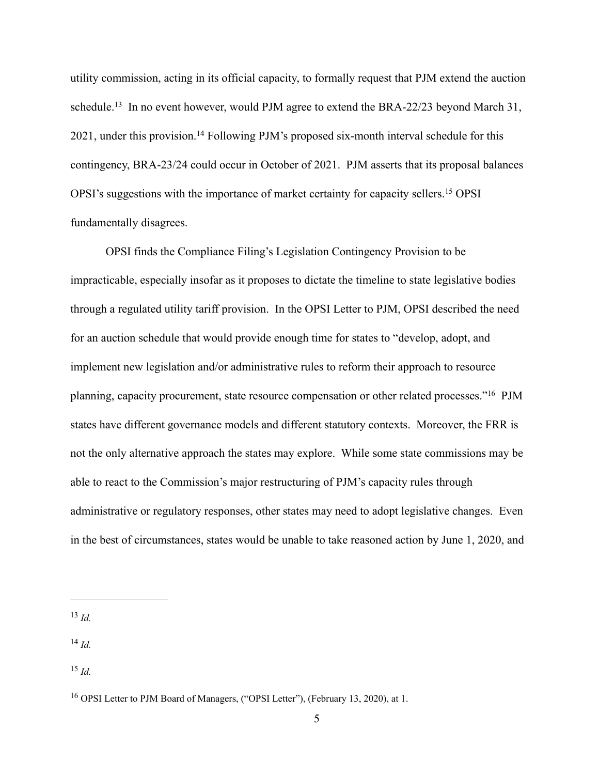utility commission, acting in its official capacity, to formally request that PJM extend the auction schedule.<sup>13</sup> In no event however, would PJM agree to extend the BRA-22/23 beyond March 31,  $2021$ , under this provision.<sup>14</sup> Following PJM's proposed six-month interval schedule for this contingency, BRA-23/24 could occur in October of 2021. PJM asserts that its proposal balances OPSI's suggestions with the importance of market certainty for capacity sellers.<sup>15</sup> OPSI fundamentally disagrees.

OPSI finds the Compliance Filing's Legislation Contingency Provision to be impracticable, especially insofar as it proposes to dictate the timeline to state legislative bodies through a regulated utility tariff provision. In the OPSI Letter to PJM, OPSI described the need for an auction schedule that would provide enough time for states to "develop, adopt, and implement new legislation and/or administrative rules to reform their approach to resource planning, capacity procurement, state resource compensation or other related processes."<sup>16</sup> PJM states have different governance models and different statutory contexts. Moreover, the FRR is not the only alternative approach the states may explore. While some state commissions may be able to react to the Commission's major restructuring of PJM's capacity rules through administrative or regulatory responses, other states may need to adopt legislative changes. Even in the best of circumstances, states would be unable to take reasoned action by June 1, 2020, and

 $^{14}$  *Id.* 

 $^{13}$  *Id.* 

 $^{15}$  *Id.* 

<sup>&</sup>lt;sup>16</sup> OPSI Letter to PJM Board of Managers, ("OPSI Letter"), (February 13, 2020), at 1.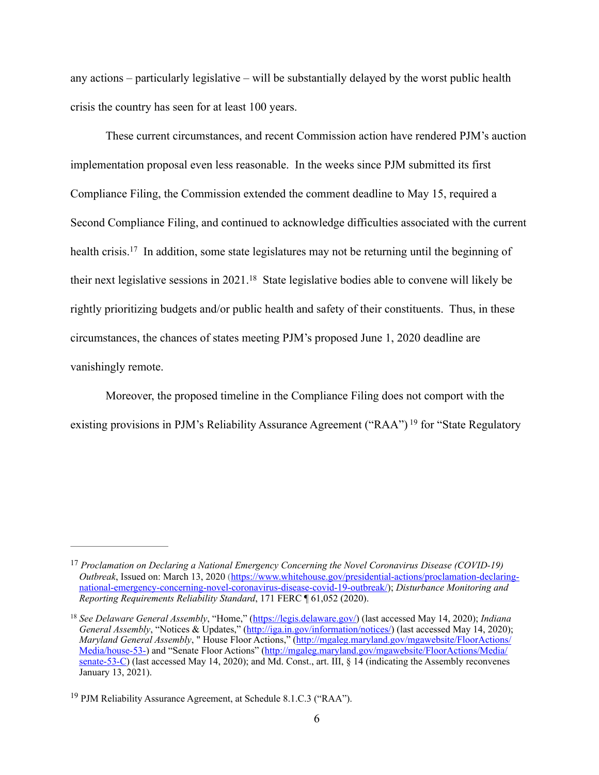any actions – particularly legislative – will be substantially delayed by the worst public health crisis the country has seen for at least 100 years.

These current circumstances, and recent Commission action have rendered PJM's auction implementation proposal even less reasonable. In the weeks since PJM submitted its first Compliance Filing, the Commission extended the comment deadline to May 15, required a Second Compliance Filing, and continued to acknowledge difficulties associated with the current health crisis.<sup>17</sup> In addition, some state legislatures may not be returning until the beginning of their next legislative sessions in  $2021$ .<sup>18</sup> State legislative bodies able to convene will likely be rightly prioritizing budgets and/or public health and safety of their constituents. Thus, in these circumstances, the chances of states meeting PJM's proposed June 1, 2020 deadline are vanishingly remote.

Moreover, the proposed timeline in the Compliance Filing does not comport with the existing provisions in PJM's Reliability Assurance Agreement ("RAA")<sup>19</sup> for "State Regulatory

<sup>&</sup>lt;sup>17</sup> Proclamation on Declaring a National Emergency Concerning the Novel Coronavirus Disease (COVID-19) *Outbreak*[, Issued on: March 13, 2020 \(https://www.whitehouse.gov/presidential-actions/proclamation-declaring](https://www.whitehouse.gov/presidential-actions/proclamation-declaring-national-emergency-concerning-novel-coronavirus-disease-covid-19-outbreak/)national-emergency-concerning-novel-coronavirus-disease-covid-19-outbreak/); *Disturbance Monitoring and Reporting Requirements Reliability Standard*, 171 FERC ¶ 61,052 (2020).

*See Delaware General Assembly*, "Home," (<https://legis.delaware.gov/>) (last accessed May 14, 2020); *Indiana* <sup>18</sup> *General Assembly*, "Notices & Updates," [\(http://iga.in.gov/information/notices/\)](http://iga.in.gov/information/notices/) (last accessed May 14, 2020); *Maryland General Assembly*, " House Floor Actions," (http://mgaleg.maryland.gov/mgawebsite/FloorActions/ [Media/house-53-\) and "Senate Floor Actions" \(http://mgaleg.maryland.gov/mgawebsite/FloorActions/Media/](http://mgaleg.maryland.gov/mgawebsite/FloorActions/Media/house-53-) [senate-53-C\) \(last accessed May 14, 2020\); and Md. Const., art. III, § 14 \(indicating the Assembly reconvenes](http://mgaleg.maryland.gov/mgawebsite/FloorActions/Media/senate-53-C) January 13, 2021).

<sup>&</sup>lt;sup>19</sup> PJM Reliability Assurance Agreement, at Schedule 8.1.C.3 ("RAA").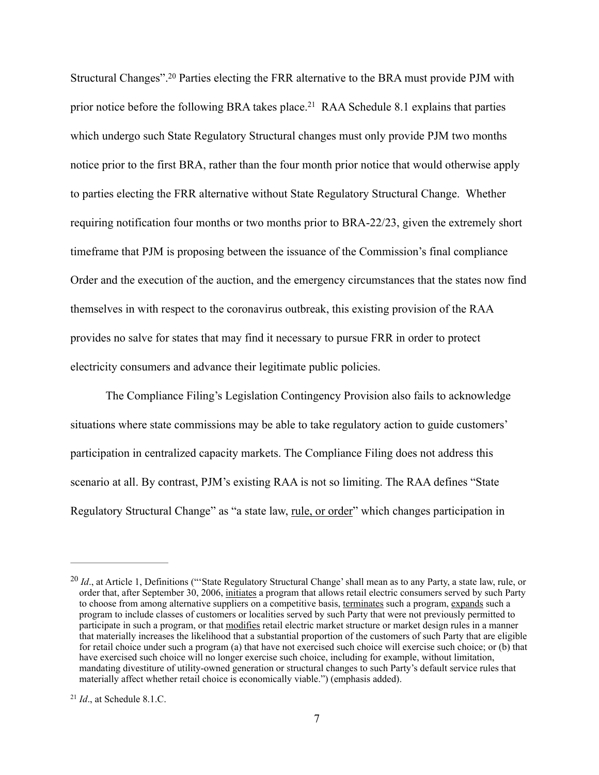Structural Changes".<sup>20</sup> Parties electing the FRR alternative to the BRA must provide PJM with prior notice before the following BRA takes place.<sup>21</sup> RAA Schedule 8.1 explains that parties which undergo such State Regulatory Structural changes must only provide PJM two months notice prior to the first BRA, rather than the four month prior notice that would otherwise apply to parties electing the FRR alternative without State Regulatory Structural Change. Whether requiring notification four months or two months prior to BRA-22/23, given the extremely short timeframe that PJM is proposing between the issuance of the Commission's final compliance Order and the execution of the auction, and the emergency circumstances that the states now find themselves in with respect to the coronavirus outbreak, this existing provision of the RAA provides no salve for states that may find it necessary to pursue FRR in order to protect electricity consumers and advance their legitimate public policies.

The Compliance Filing's Legislation Contingency Provision also fails to acknowledge situations where state commissions may be able to take regulatory action to guide customers' participation in centralized capacity markets. The Compliance Filing does not address this scenario at all. By contrast, PJM's existing RAA is not so limiting. The RAA defines "State Regulatory Structural Change" as "a state law, rule, or order" which changes participation in

<sup>&</sup>lt;sup>20</sup> Id., at Article 1, Definitions ("State Regulatory Structural Change' shall mean as to any Party, a state law, rule, or order that, after September 30, 2006, initiates a program that allows retail electric consumers served by such Party to choose from among alternative suppliers on a competitive basis, terminates such a program, expands such a program to include classes of customers or localities served by such Party that were not previously permitted to participate in such a program, or that modifies retail electric market structure or market design rules in a manner that materially increases the likelihood that a substantial proportion of the customers of such Party that are eligible for retail choice under such a program (a) that have not exercised such choice will exercise such choice; or (b) that have exercised such choice will no longer exercise such choice, including for example, without limitation, mandating divestiture of utility-owned generation or structural changes to such Party's default service rules that materially affect whether retail choice is economically viable.") (emphasis added).

 $^{21}$  *Id.*, at Schedule 8.1.C.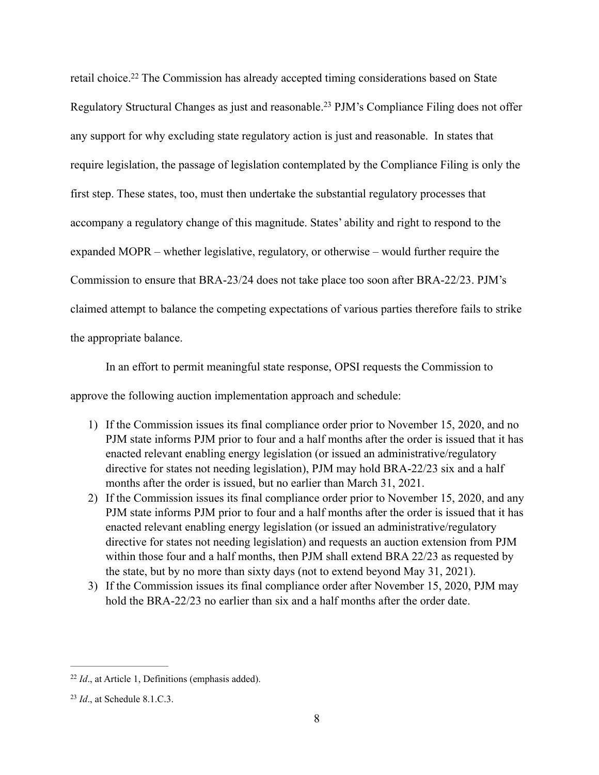retail choice.<sup>22</sup> The Commission has already accepted timing considerations based on State Regulatory Structural Changes as just and reasonable.<sup>23</sup> PJM's Compliance Filing does not offer any support for why excluding state regulatory action is just and reasonable. In states that require legislation, the passage of legislation contemplated by the Compliance Filing is only the first step. These states, too, must then undertake the substantial regulatory processes that accompany a regulatory change of this magnitude. States' ability and right to respond to the expanded MOPR – whether legislative, regulatory, or otherwise – would further require the Commission to ensure that BRA-23/24 does not take place too soon after BRA-22/23. PJM's claimed attempt to balance the competing expectations of various parties therefore fails to strike the appropriate balance.

In an effort to permit meaningful state response, OPSI requests the Commission to approve the following auction implementation approach and schedule:

- 1) If the Commission issues its final compliance order prior to November 15, 2020, and no PJM state informs PJM prior to four and a half months after the order is issued that it has enacted relevant enabling energy legislation (or issued an administrative/regulatory directive for states not needing legislation), PJM may hold BRA-22/23 six and a half months after the order is issued, but no earlier than March 31, 2021.
- 2) If the Commission issues its final compliance order prior to November 15, 2020, and any PJM state informs PJM prior to four and a half months after the order is issued that it has enacted relevant enabling energy legislation (or issued an administrative/regulatory directive for states not needing legislation) and requests an auction extension from PJM within those four and a half months, then PJM shall extend BRA 22/23 as requested by the state, but by no more than sixty days (not to extend beyond May 31, 2021).
- 3) If the Commission issues its final compliance order after November 15, 2020, PJM may hold the BRA-22/23 no earlier than six and a half months after the order date.

 $^{22}$  *Id.*, at Article 1, Definitions (emphasis added).

<sup>&</sup>lt;sup>23</sup> *Id.*, at Schedule 8.1.C.3.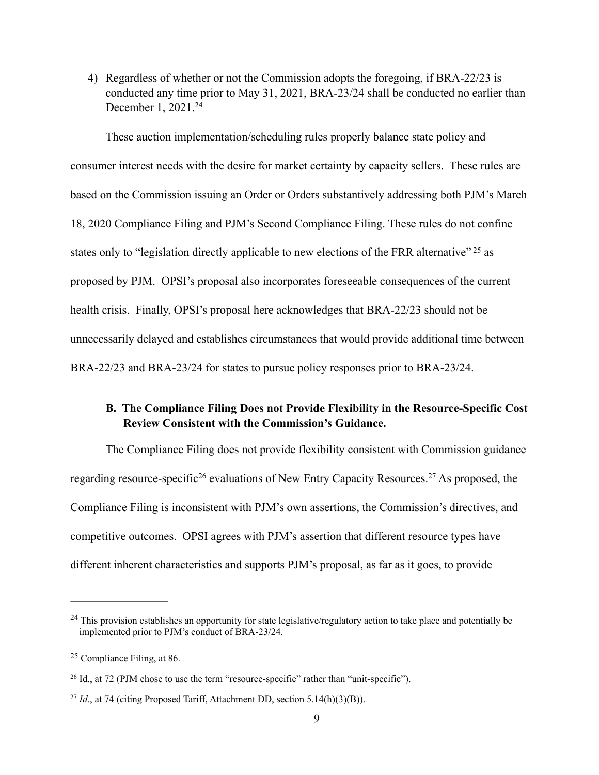4) Regardless of whether or not the Commission adopts the foregoing, if BRA-22/23 is conducted any time prior to May 31, 2021, BRA-23/24 shall be conducted no earlier than December 1, 2021.24

These auction implementation/scheduling rules properly balance state policy and consumer interest needs with the desire for market certainty by capacity sellers. These rules are based on the Commission issuing an Order or Orders substantively addressing both PJM's March 18, 2020 Compliance Filing and PJM's Second Compliance Filing. These rules do not confine states only to "legislation directly applicable to new elections of the FRR alternative" <sup>25</sup> as proposed by PJM. OPSI's proposal also incorporates foreseeable consequences of the current health crisis. Finally, OPSI's proposal here acknowledges that BRA-22/23 should not be unnecessarily delayed and establishes circumstances that would provide additional time between BRA-22/23 and BRA-23/24 for states to pursue policy responses prior to BRA-23/24.

## **B. The Compliance Filing Does not Provide Flexibility in the Resource-Specific Cost Review Consistent with the Commission's Guidance.**

The Compliance Filing does not provide flexibility consistent with Commission guidance regarding resource-specific<sup>26</sup> evaluations of New Entry Capacity Resources.<sup>27</sup> As proposed, the Compliance Filing is inconsistent with PJM's own assertions, the Commission's directives, and competitive outcomes. OPSI agrees with PJM's assertion that different resource types have different inherent characteristics and supports PJM's proposal, as far as it goes, to provide

<sup>&</sup>lt;sup>24</sup> This provision establishes an opportunity for state legislative/regulatory action to take place and potentially be implemented prior to PJM's conduct of BRA-23/24.

 $25$  Compliance Filing, at 86.

<sup>&</sup>lt;sup>26</sup> Id., at 72 (PJM chose to use the term "resource-specific" rather than "unit-specific").

<sup>&</sup>lt;sup>27</sup> *Id.*, at 74 (citing Proposed Tariff, Attachment DD, section 5.14(h)(3)(B)).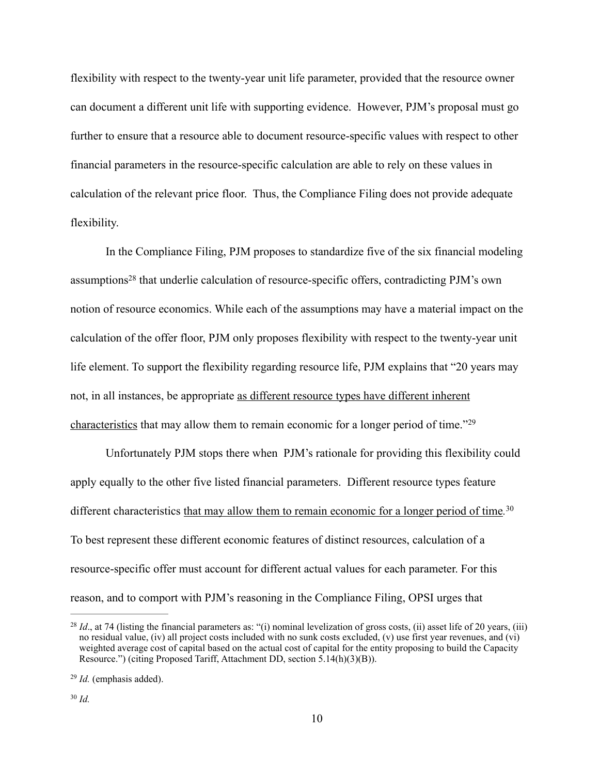flexibility with respect to the twenty-year unit life parameter, provided that the resource owner can document a different unit life with supporting evidence. However, PJM's proposal must go further to ensure that a resource able to document resource-specific values with respect to other financial parameters in the resource-specific calculation are able to rely on these values in calculation of the relevant price floor. Thus, the Compliance Filing does not provide adequate flexibility.

In the Compliance Filing, PJM proposes to standardize five of the six financial modeling assumptions<sup>28</sup> that underlie calculation of resource-specific offers, contradicting PJM's own notion of resource economics. While each of the assumptions may have a material impact on the calculation of the offer floor, PJM only proposes flexibility with respect to the twenty-year unit life element. To support the flexibility regarding resource life, PJM explains that "20 years may not, in all instances, be appropriate as different resource types have different inherent characteristics that may allow them to remain economic for a longer period of time."29

Unfortunately PJM stops there when PJM's rationale for providing this flexibility could apply equally to the other five listed financial parameters. Different resource types feature different characteristics that may allow them to remain economic for a longer period of time*.* 30 To best represent these different economic features of distinct resources, calculation of a resource-specific offer must account for different actual values for each parameter. For this reason, and to comport with PJM's reasoning in the Compliance Filing, OPSI urges that

<sup>&</sup>lt;sup>28</sup> *Id.*, at 74 (listing the financial parameters as: "(i) nominal levelization of gross costs, (ii) asset life of 20 years, (iii) no residual value, (iv) all project costs included with no sunk costs excluded, (v) use first year revenues, and (vi) weighted average cost of capital based on the actual cost of capital for the entity proposing to build the Capacity Resource.") (citing Proposed Tariff, Attachment DD, section 5.14(h)(3)(B)).

<sup>&</sup>lt;sup>29</sup> *Id.* (emphasis added).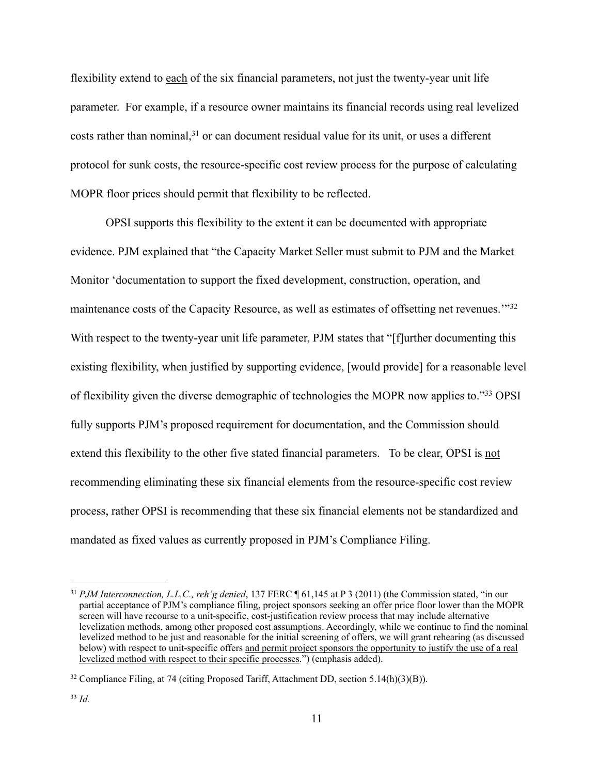flexibility extend to each of the six financial parameters, not just the twenty-year unit life parameter. For example, if a resource owner maintains its financial records using real levelized costs rather than nominal,  $31$  or can document residual value for its unit, or uses a different protocol for sunk costs, the resource-specific cost review process for the purpose of calculating MOPR floor prices should permit that flexibility to be reflected.

OPSI supports this flexibility to the extent it can be documented with appropriate evidence. PJM explained that "the Capacity Market Seller must submit to PJM and the Market Monitor 'documentation to support the fixed development, construction, operation, and maintenance costs of the Capacity Resource, as well as estimates of offsetting net revenues.<sup>"32</sup> With respect to the twenty-year unit life parameter, PJM states that "[f]urther documenting this existing flexibility, when justified by supporting evidence, [would provide] for a reasonable level of flexibility given the diverse demographic of technologies the MOPR now applies to."<sup>33</sup> OPSI fully supports PJM's proposed requirement for documentation, and the Commission should extend this flexibility to the other five stated financial parameters. To be clear, OPSI is not recommending eliminating these six financial elements from the resource-specific cost review process, rather OPSI is recommending that these six financial elements not be standardized and mandated as fixed values as currently proposed in PJM's Compliance Filing.

<sup>&</sup>lt;sup>31</sup> *PJM Interconnection, L.L.C., reh'g denied,* 137 FERC ¶ 61,145 at P 3 (2011) (the Commission stated, "in our partial acceptance of PJM's compliance filing, project sponsors seeking an offer price floor lower than the MOPR screen will have recourse to a unit-specific, cost-justification review process that may include alternative levelization methods, among other proposed cost assumptions. Accordingly, while we continue to find the nominal levelized method to be just and reasonable for the initial screening of offers, we will grant rehearing (as discussed below) with respect to unit-specific offers and permit project sponsors the opportunity to justify the use of a real levelized method with respect to their specific processes.") (emphasis added).

<sup>&</sup>lt;sup>32</sup> Compliance Filing, at 74 (citing Proposed Tariff, Attachment DD, section 5.14(h)(3)(B)).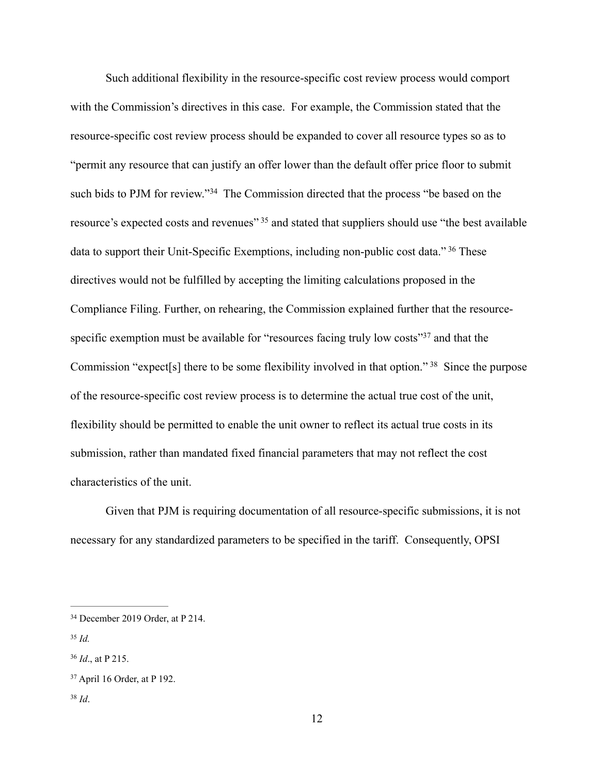Such additional flexibility in the resource-specific cost review process would comport with the Commission's directives in this case. For example, the Commission stated that the resource-specific cost review process should be expanded to cover all resource types so as to "permit any resource that can justify an offer lower than the default offer price floor to submit such bids to PJM for review."<sup>34</sup> The Commission directed that the process "be based on the resource's expected costs and revenues"<sup>35</sup> and stated that suppliers should use "the best available data to support their Unit-Specific Exemptions, including non-public cost data."<sup>36</sup> These directives would not be fulfilled by accepting the limiting calculations proposed in the Compliance Filing. Further, on rehearing, the Commission explained further that the resourcespecific exemption must be available for "resources facing truly low costs"<sup>37</sup> and that the Commission "expect[s] there to be some flexibility involved in that option."  $38$  Since the purpose of the resource-specific cost review process is to determine the actual true cost of the unit, flexibility should be permitted to enable the unit owner to reflect its actual true costs in its submission, rather than mandated fixed financial parameters that may not reflect the cost characteristics of the unit.

Given that PJM is requiring documentation of all resource-specific submissions, it is not necessary for any standardized parameters to be specified in the tariff. Consequently, OPSI

<sup>&</sup>lt;sup>34</sup> December 2019 Order, at P 214.

 $35$  *Id.* 

*Id*., at P 215. <sup>36</sup>

<sup>&</sup>lt;sup>37</sup> April 16 Order, at P 192.

*Id*. <sup>38</sup>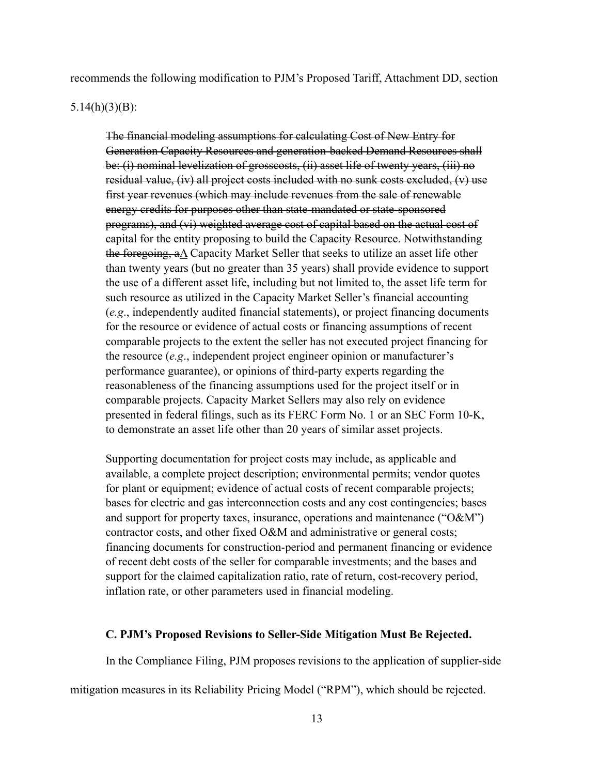recommends the following modification to PJM's Proposed Tariff, Attachment DD, section

### 5.14(h)(3)(B):

The financial modeling assumptions for calculating Cost of New Entry for Generation Capacity Resources and generation-backed Demand Resources shall be: (i) nominal levelization of grosscosts, (ii) asset life of twenty years, (iii) no residual value, (iv) all project costs included with no sunk costs excluded, (v) use first year revenues (which may include revenues from the sale of renewable energy credits for purposes other than state-mandated or state-sponsored programs), and (vi) weighted average cost of capital based on the actual cost of capital for the entity proposing to build the Capacity Resource. Notwithstanding the foregoing, aA Capacity Market Seller that seeks to utilize an asset life other than twenty years (but no greater than 35 years) shall provide evidence to support the use of a different asset life, including but not limited to, the asset life term for such resource as utilized in the Capacity Market Seller's financial accounting (*e.g*., independently audited financial statements), or project financing documents for the resource or evidence of actual costs or financing assumptions of recent comparable projects to the extent the seller has not executed project financing for the resource (*e.g*., independent project engineer opinion or manufacturer's performance guarantee), or opinions of third-party experts regarding the reasonableness of the financing assumptions used for the project itself or in comparable projects. Capacity Market Sellers may also rely on evidence presented in federal filings, such as its FERC Form No. 1 or an SEC Form 10-K, to demonstrate an asset life other than 20 years of similar asset projects.

Supporting documentation for project costs may include, as applicable and available, a complete project description; environmental permits; vendor quotes for plant or equipment; evidence of actual costs of recent comparable projects; bases for electric and gas interconnection costs and any cost contingencies; bases and support for property taxes, insurance, operations and maintenance ("O&M") contractor costs, and other fixed O&M and administrative or general costs; financing documents for construction-period and permanent financing or evidence of recent debt costs of the seller for comparable investments; and the bases and support for the claimed capitalization ratio, rate of return, cost-recovery period, inflation rate, or other parameters used in financial modeling.

### **C. PJM's Proposed Revisions to Seller-Side Mitigation Must Be Rejected.**

In the Compliance Filing, PJM proposes revisions to the application of supplier-side

mitigation measures in its Reliability Pricing Model ("RPM"), which should be rejected.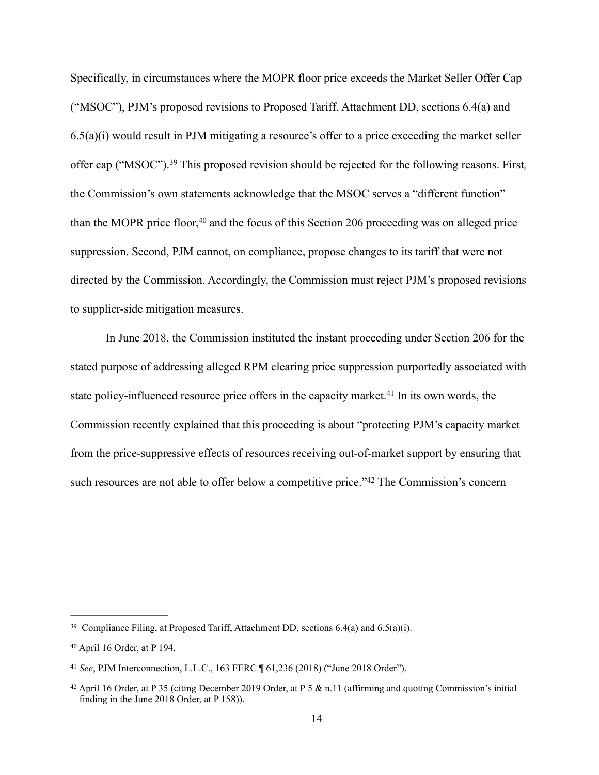Specifically, in circumstances where the MOPR floor price exceeds the Market Seller Offer Cap ("MSOC"), PJM's proposed revisions to Proposed Tariff, Attachment DD, sections 6.4(a) and 6.5(a)(i) would result in PJM mitigating a resource's offer to a price exceeding the market seller offer cap ("MSOC").<sup>39</sup> This proposed revision should be rejected for the following reasons. First, the Commission's own statements acknowledge that the MSOC serves a "different function" than the MOPR price floor, $40$  and the focus of this Section 206 proceeding was on alleged price suppression. Second, PJM cannot, on compliance, propose changes to its tariff that were not directed by the Commission. Accordingly, the Commission must reject PJM's proposed revisions to supplier-side mitigation measures.

In June 2018, the Commission instituted the instant proceeding under Section 206 for the stated purpose of addressing alleged RPM clearing price suppression purportedly associated with state policy-influenced resource price offers in the capacity market.<sup>41</sup> In its own words, the Commission recently explained that this proceeding is about "protecting PJM's capacity market from the price-suppressive effects of resources receiving out-of-market support by ensuring that such resources are not able to offer below a competitive price."<sup>42</sup> The Commission's concern

<sup>&</sup>lt;sup>39</sup> Compliance Filing, at Proposed Tariff, Attachment DD, sections  $6.4(a)$  and  $6.5(a)(i)$ .

 $40$  April 16 Order, at P 194.

*See*, PJM Interconnection, L.L.C., 163 FERC ¶ 61,236 (2018) ("June 2018 Order"). <sup>41</sup>

<sup>&</sup>lt;sup>42</sup> April 16 Order, at P 35 (citing December 2019 Order, at P 5  $\&$  n.11 (affirming and quoting Commission's initial finding in the June 2018 Order, at P 158)).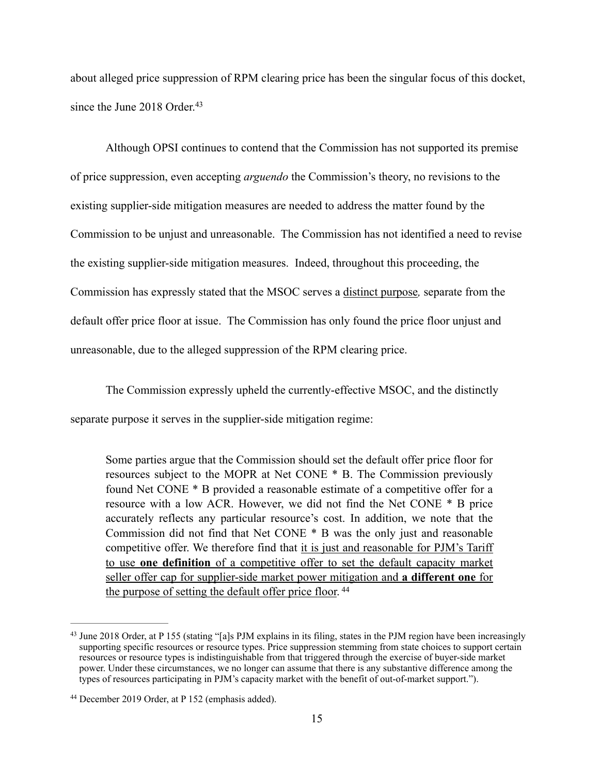about alleged price suppression of RPM clearing price has been the singular focus of this docket, since the June 2018 Order.<sup>43</sup>

Although OPSI continues to contend that the Commission has not supported its premise of price suppression, even accepting *arguendo* the Commission's theory, no revisions to the existing supplier-side mitigation measures are needed to address the matter found by the Commission to be unjust and unreasonable. The Commission has not identified a need to revise the existing supplier-side mitigation measures. Indeed, throughout this proceeding, the Commission has expressly stated that the MSOC serves a distinct purpose*,* separate from the default offer price floor at issue. The Commission has only found the price floor unjust and unreasonable, due to the alleged suppression of the RPM clearing price.

The Commission expressly upheld the currently-effective MSOC, and the distinctly separate purpose it serves in the supplier-side mitigation regime:

Some parties argue that the Commission should set the default offer price floor for resources subject to the MOPR at Net CONE \* B. The Commission previously found Net CONE \* B provided a reasonable estimate of a competitive offer for a resource with a low ACR. However, we did not find the Net CONE \* B price accurately reflects any particular resource's cost. In addition, we note that the Commission did not find that Net CONE \* B was the only just and reasonable competitive offer. We therefore find that it is just and reasonable for PJM's Tariff to use **one definition** of a competitive offer to set the default capacity market seller offer cap for supplier-side market power mitigation and **a different one** for the purpose of setting the default offer price floor.<sup>44</sup>

<sup>&</sup>lt;sup>43</sup> June 2018 Order, at P 155 (stating "[a]s PJM explains in its filing, states in the PJM region have been increasingly supporting specific resources or resource types. Price suppression stemming from state choices to support certain resources or resource types is indistinguishable from that triggered through the exercise of buyer-side market power. Under these circumstances, we no longer can assume that there is any substantive difference among the types of resources participating in PJM's capacity market with the benefit of out-of-market support.").

<sup>&</sup>lt;sup>44</sup> December 2019 Order, at P 152 (emphasis added).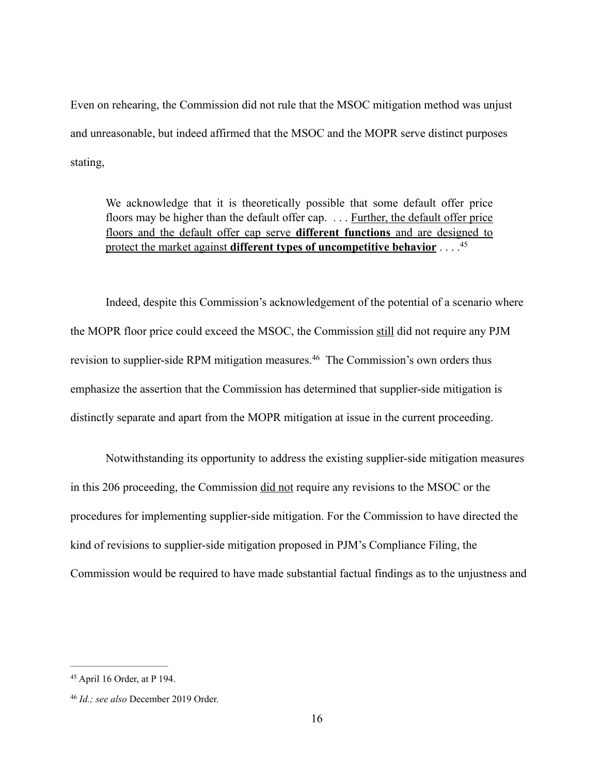Even on rehearing, the Commission did not rule that the MSOC mitigation method was unjust and unreasonable, but indeed affirmed that the MSOC and the MOPR serve distinct purposes stating,

We acknowledge that it is theoretically possible that some default offer price floors may be higher than the default offer cap. . . . Further, the default offer price floors and the default offer cap serve **different functions** and are designed to protect the market against **different types of uncompetitive behavior** . . . .45

Indeed, despite this Commission's acknowledgement of the potential of a scenario where the MOPR floor price could exceed the MSOC, the Commission still did not require any PJM revision to supplier-side RPM mitigation measures.<sup>46</sup> The Commission's own orders thus emphasize the assertion that the Commission has determined that supplier-side mitigation is distinctly separate and apart from the MOPR mitigation at issue in the current proceeding.

Notwithstanding its opportunity to address the existing supplier-side mitigation measures in this 206 proceeding, the Commission did not require any revisions to the MSOC or the procedures for implementing supplier-side mitigation. For the Commission to have directed the kind of revisions to supplier-side mitigation proposed in PJM's Compliance Filing, the Commission would be required to have made substantial factual findings as to the unjustness and

 $45$  April 16 Order, at P 194.

<sup>&</sup>lt;sup>46</sup> Id.; see also December 2019 Order.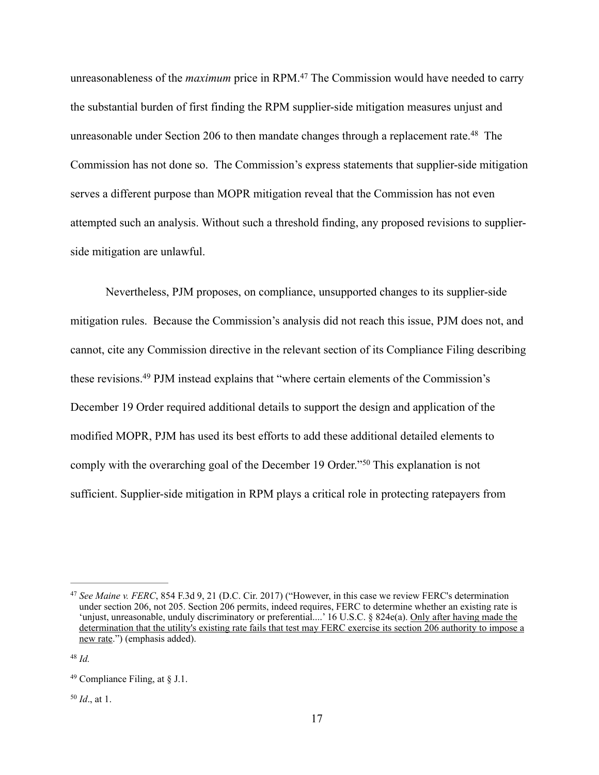unreasonableness of the *maximum* price in RPM.<sup>47</sup> The Commission would have needed to carry the substantial burden of first finding the RPM supplier-side mitigation measures unjust and unreasonable under Section 206 to then mandate changes through a replacement rate.<sup>48</sup> The Commission has not done so. The Commission's express statements that supplier-side mitigation serves a different purpose than MOPR mitigation reveal that the Commission has not even attempted such an analysis. Without such a threshold finding, any proposed revisions to supplierside mitigation are unlawful.

Nevertheless, PJM proposes, on compliance, unsupported changes to its supplier-side mitigation rules. Because the Commission's analysis did not reach this issue, PJM does not, and cannot, cite any Commission directive in the relevant section of its Compliance Filing describing these revisions.<sup>49</sup> PJM instead explains that "where certain elements of the Commission's December 19 Order required additional details to support the design and application of the modified MOPR, PJM has used its best efforts to add these additional detailed elements to comply with the overarching goal of the December 19 Order."<sup>50</sup> This explanation is not sufficient. Supplier-side mitigation in RPM plays a critical role in protecting ratepayers from

 $^{50}$  *Id.*, at 1.

<sup>&</sup>lt;sup>47</sup> See Maine v. FERC, 854 F.3d 9, 21 (D.C. Cir. 2017) ("However, in this case we review FERC's determination under section 206, not 205. Section 206 permits, indeed requires, FERC to determine whether an existing rate is 'unjust, unreasonable, unduly discriminatory or preferential....' 16 U.S.C. § 824e(a). Only after having made the determination that the utility's existing rate fails that test may FERC exercise its section 206 authority to impose a new rate.") (emphasis added).

 $48$  *Id.* 

<sup>&</sup>lt;sup>49</sup> Compliance Filing, at  $\S$  J.1.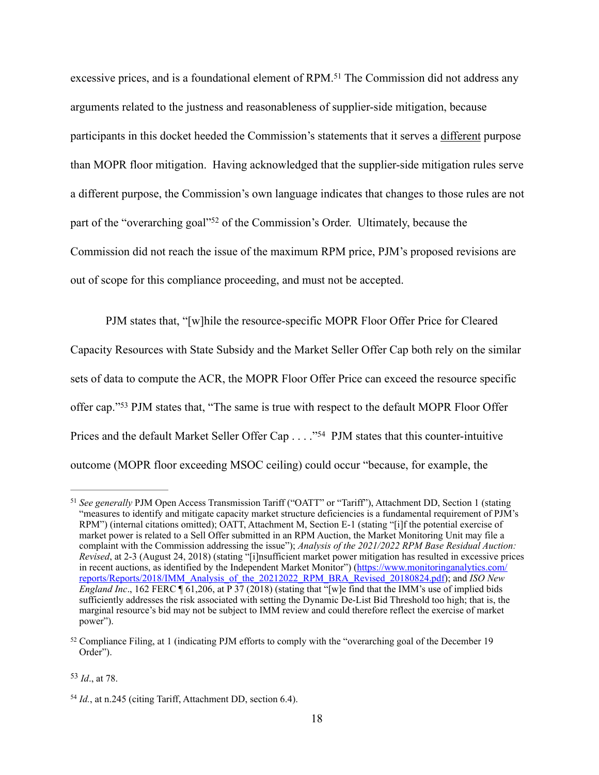excessive prices, and is a foundational element of RPM.<sup>51</sup> The Commission did not address any arguments related to the justness and reasonableness of supplier-side mitigation, because participants in this docket heeded the Commission's statements that it serves a different purpose than MOPR floor mitigation. Having acknowledged that the supplier-side mitigation rules serve a different purpose, the Commission's own language indicates that changes to those rules are not part of the "overarching goal"<sup>52</sup> of the Commission's Order. Ultimately, because the Commission did not reach the issue of the maximum RPM price, PJM's proposed revisions are out of scope for this compliance proceeding, and must not be accepted.

PJM states that, "[w]hile the resource-specific MOPR Floor Offer Price for Cleared Capacity Resources with State Subsidy and the Market Seller Offer Cap both rely on the similar sets of data to compute the ACR, the MOPR Floor Offer Price can exceed the resource specific offer cap."<sup>53</sup> PJM states that, "The same is true with respect to the default MOPR Floor Offer Prices and the default Market Seller Offer Cap . . . . "<sup>54</sup> PJM states that this counter-intuitive outcome (MOPR floor exceeding MSOC ceiling) could occur "because, for example, the

 $^{53}$  *Id.*, at 78.

<sup>&</sup>lt;sup>51</sup> See generally PJM Open Access Transmission Tariff ("OATT" or "Tariff"), Attachment DD, Section 1 (stating "measures to identify and mitigate capacity market structure deficiencies is a fundamental requirement of PJM's RPM") (internal citations omitted); OATT, Attachment M, Section E-1 (stating "[i]f the potential exercise of market power is related to a Sell Offer submitted in an RPM Auction, the Market Monitoring Unit may file a complaint with the Commission addressing the issue"); *Analysis of the 2021/2022 RPM Base Residual Auction: Revised*, at 2-3 (August 24, 2018) (stating "[i]nsufficient market power mitigation has resulted in excessive prices [in recent auctions, as identified by the Independent Market Monitor"\) \(https://www.monitoringanalytics.com/](https://www.monitoringanalytics.com/reports/Reports/2018/IMM_Analysis_of_the_20212022_RPM_BRA_Revised_20180824.pdf) reports/Reports/2018/IMM\_Analysis\_of\_the\_20212022\_RPM\_BRA\_Revised\_20180824.pdf); and *ISO New England Inc.*, 162 FERC  $\P$  61,206, at P 37 (2018) (stating that "[w]e find that the IMM's use of implied bids sufficiently addresses the risk associated with setting the Dynamic De-List Bid Threshold too high; that is, the marginal resource's bid may not be subject to IMM review and could therefore reflect the exercise of market power").

 $52$  Compliance Filing, at 1 (indicating PJM efforts to comply with the "overarching goal of the December 19 Order").

<sup>&</sup>lt;sup>54</sup> Id., at n.245 (citing Tariff, Attachment DD, section 6.4).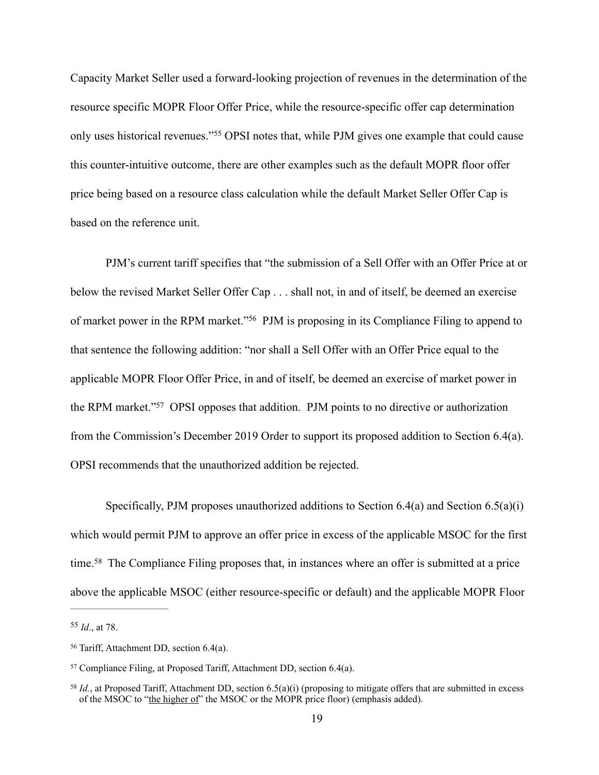Capacity Market Seller used a forward-looking projection of revenues in the determination of the resource specific MOPR Floor Offer Price, while the resource-specific offer cap determination only uses historical revenues."<sup>55</sup> OPSI notes that, while PJM gives one example that could cause this counter-intuitive outcome, there are other examples such as the default MOPR floor offer price being based on a resource class calculation while the default Market Seller Offer Cap is based on the reference unit.

PJM's current tariff specifies that "the submission of a Sell Offer with an Offer Price at or below the revised Market Seller Offer Cap . . . shall not, in and of itself, be deemed an exercise of market power in the RPM market."<sup>56</sup> PJM is proposing in its Compliance Filing to append to that sentence the following addition: "nor shall a Sell Offer with an Offer Price equal to the applicable MOPR Floor Offer Price, in and of itself, be deemed an exercise of market power in the RPM market."<sup>57</sup> OPSI opposes that addition. PJM points to no directive or authorization from the Commission's December 2019 Order to support its proposed addition to Section 6.4(a). OPSI recommends that the unauthorized addition be rejected.

Specifically, PJM proposes unauthorized additions to Section 6.4(a) and Section 6.5(a)(i) which would permit PJM to approve an offer price in excess of the applicable MSOC for the first time.<sup>58</sup> The Compliance Filing proposes that, in instances where an offer is submitted at a price above the applicable MSOC (either resource-specific or default) and the applicable MOPR Floor

 $^{55}$  *Id.*, at 78.

 $56$  Tariff, Attachment DD, section 6.4(a).

 $57$  Compliance Filing, at Proposed Tariff, Attachment DD, section 6.4(a).

<sup>&</sup>lt;sup>58</sup> *Id.*, at Proposed Tariff, Attachment DD, section  $6.5(a)(i)$  (proposing to mitigate offers that are submitted in excess of the MSOC to "the higher of" the MSOC or the MOPR price floor) (emphasis added).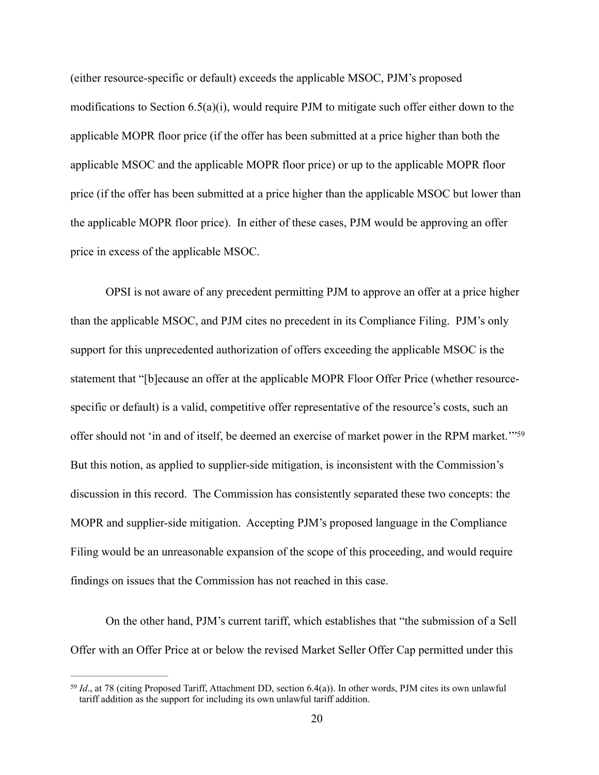(either resource-specific or default) exceeds the applicable MSOC, PJM's proposed modifications to Section 6.5(a)(i), would require PJM to mitigate such offer either down to the applicable MOPR floor price (if the offer has been submitted at a price higher than both the applicable MSOC and the applicable MOPR floor price) or up to the applicable MOPR floor price (if the offer has been submitted at a price higher than the applicable MSOC but lower than the applicable MOPR floor price). In either of these cases, PJM would be approving an offer price in excess of the applicable MSOC.

OPSI is not aware of any precedent permitting PJM to approve an offer at a price higher than the applicable MSOC, and PJM cites no precedent in its Compliance Filing. PJM's only support for this unprecedented authorization of offers exceeding the applicable MSOC is the statement that "[b]ecause an offer at the applicable MOPR Floor Offer Price (whether resourcespecific or default) is a valid, competitive offer representative of the resource's costs, such an offer should not 'in and of itself, be deemed an exercise of market power in the RPM market.'"<sup>59</sup> But this notion, as applied to supplier-side mitigation, is inconsistent with the Commission's discussion in this record. The Commission has consistently separated these two concepts: the MOPR and supplier-side mitigation. Accepting PJM's proposed language in the Compliance Filing would be an unreasonable expansion of the scope of this proceeding, and would require findings on issues that the Commission has not reached in this case.

On the other hand, PJM's current tariff, which establishes that "the submission of a Sell Offer with an Offer Price at or below the revised Market Seller Offer Cap permitted under this

<sup>&</sup>lt;sup>59</sup> Id., at 78 (citing Proposed Tariff, Attachment DD, section 6.4(a)). In other words, PJM cites its own unlawful tariff addition as the support for including its own unlawful tariff addition.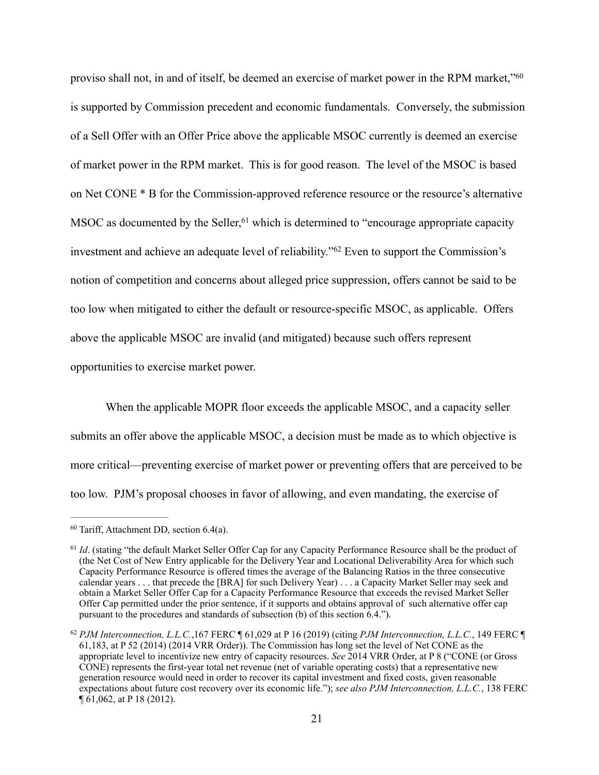proviso shall not, in and of itself, be deemed an exercise of market power in the RPM market,"60 is supported by Commission precedent and economic fundamentals. Conversely, the submission of a Sell Offer with an Offer Price above the applicable MSOC currently is deemed an exercise of market power in the RPM market. This is for good reason. The level of the MSOC is based on Net CONE \* B for the Commission-approved reference resource or the resource's alternative  $MSOC$  as documented by the Seller, <sup>61</sup> which is determined to "encourage appropriate capacity investment and achieve an adequate level of reliability."<sup>62</sup> Even to support the Commission's notion of competition and concerns about alleged price suppression, offers cannot be said to be too low when mitigated to either the default or resource-specific MSOC, as applicable. Offers above the applicable MSOC are invalid (and mitigated) because such offers represent opportunities to exercise market power.

When the applicable MOPR floor exceeds the applicable MSOC, and a capacity seller submits an offer above the applicable MSOC, a decision must be made as to which objective is more critical—preventing exercise of market power or preventing offers that are perceived to be too low. PJM's proposal chooses in favor of allowing, and even mandating, the exercise of

 $60$  Tariff, Attachment DD, section  $6.4(a)$ .

<sup>&</sup>lt;sup>61</sup> *Id.* (stating "the default Market Seller Offer Cap for any Capacity Performance Resource shall be the product of (the Net Cost of New Entry applicable for the Delivery Year and Locational Deliverability Area for which such Capacity Performance Resource is offered times the average of the Balancing Ratios in the three consecutive calendar years . . . that precede the [BRA] for such Delivery Year) . . . a Capacity Market Seller may seek and obtain a Market Seller Offer Cap for a Capacity Performance Resource that exceeds the revised Market Seller Offer Cap permitted under the prior sentence, if it supports and obtains approval of such alternative offer cap pursuant to the procedures and standards of subsection (b) of this section 6.4.").

<sup>&</sup>lt;sup>62</sup> PJM Interconnection, L.L.C.,167 FERC ¶ 61,029 at P 16 (2019) (citing *PJM Interconnection, L.L.C.*, 149 FERC ¶ 61,183, at P 52 (2014) (2014 VRR Order)). The Commission has long set the level of Net CONE as the appropriate level to incentivize new entry of capacity resources. *See* 2014 VRR Order, at P 8 ("CONE (or Gross CONE) represents the first-year total net revenue (net of variable operating costs) that a representative new generation resource would need in order to recover its capital investment and fixed costs, given reasonable expectations about future cost recovery over its economic life."); *see also PJM Interconnection, L.L.C.*, 138 FERC ¶ 61,062, at P 18 (2012).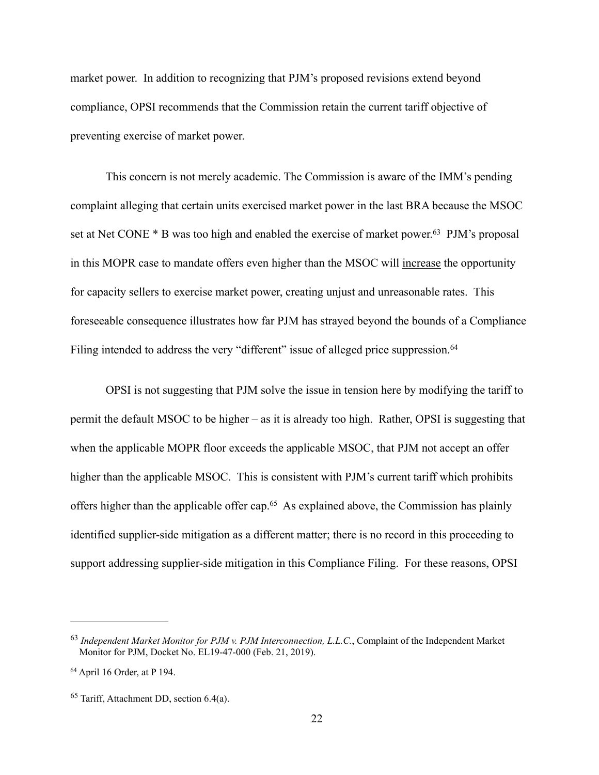market power. In addition to recognizing that PJM's proposed revisions extend beyond compliance, OPSI recommends that the Commission retain the current tariff objective of preventing exercise of market power.

This concern is not merely academic. The Commission is aware of the IMM's pending complaint alleging that certain units exercised market power in the last BRA because the MSOC set at Net CONE  $*$  B was too high and enabled the exercise of market power.<sup>63</sup> PJM's proposal in this MOPR case to mandate offers even higher than the MSOC will increase the opportunity for capacity sellers to exercise market power, creating unjust and unreasonable rates. This foreseeable consequence illustrates how far PJM has strayed beyond the bounds of a Compliance Filing intended to address the very "different" issue of alleged price suppression.<sup>64</sup>

OPSI is not suggesting that PJM solve the issue in tension here by modifying the tariff to permit the default MSOC to be higher – as it is already too high. Rather, OPSI is suggesting that when the applicable MOPR floor exceeds the applicable MSOC, that PJM not accept an offer higher than the applicable MSOC. This is consistent with PJM's current tariff which prohibits offers higher than the applicable offer cap.<sup> $65$ </sup> As explained above, the Commission has plainly identified supplier-side mitigation as a different matter; there is no record in this proceeding to support addressing supplier-side mitigation in this Compliance Filing. For these reasons, OPSI

<sup>&</sup>lt;sup>63</sup> Independent Market Monitor for PJM v. PJM Interconnection, L.L.C., Complaint of the Independent Market Monitor for PJM, Docket No. EL19-47-000 (Feb. 21, 2019).

<sup>&</sup>lt;sup>64</sup> April 16 Order, at P 194.

 $65$  Tariff, Attachment DD, section 6.4(a).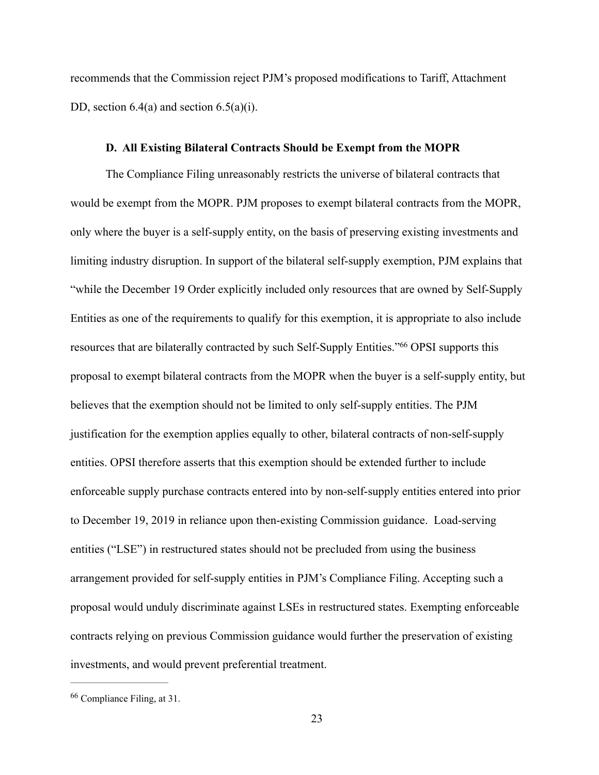recommends that the Commission reject PJM's proposed modifications to Tariff, Attachment DD, section  $6.4(a)$  and section  $6.5(a)(i)$ .

### **D. All Existing Bilateral Contracts Should be Exempt from the MOPR**

The Compliance Filing unreasonably restricts the universe of bilateral contracts that would be exempt from the MOPR. PJM proposes to exempt bilateral contracts from the MOPR, only where the buyer is a self-supply entity, on the basis of preserving existing investments and limiting industry disruption. In support of the bilateral self-supply exemption, PJM explains that "while the December 19 Order explicitly included only resources that are owned by Self-Supply Entities as one of the requirements to qualify for this exemption, it is appropriate to also include resources that are bilaterally contracted by such Self-Supply Entities."<sup>66</sup> OPSI supports this proposal to exempt bilateral contracts from the MOPR when the buyer is a self-supply entity, but believes that the exemption should not be limited to only self-supply entities. The PJM justification for the exemption applies equally to other, bilateral contracts of non-self-supply entities. OPSI therefore asserts that this exemption should be extended further to include enforceable supply purchase contracts entered into by non-self-supply entities entered into prior to December 19, 2019 in reliance upon then-existing Commission guidance. Load-serving entities ("LSE") in restructured states should not be precluded from using the business arrangement provided for self-supply entities in PJM's Compliance Filing. Accepting such a proposal would unduly discriminate against LSEs in restructured states. Exempting enforceable contracts relying on previous Commission guidance would further the preservation of existing investments, and would prevent preferential treatment.

 $66$  Compliance Filing, at 31.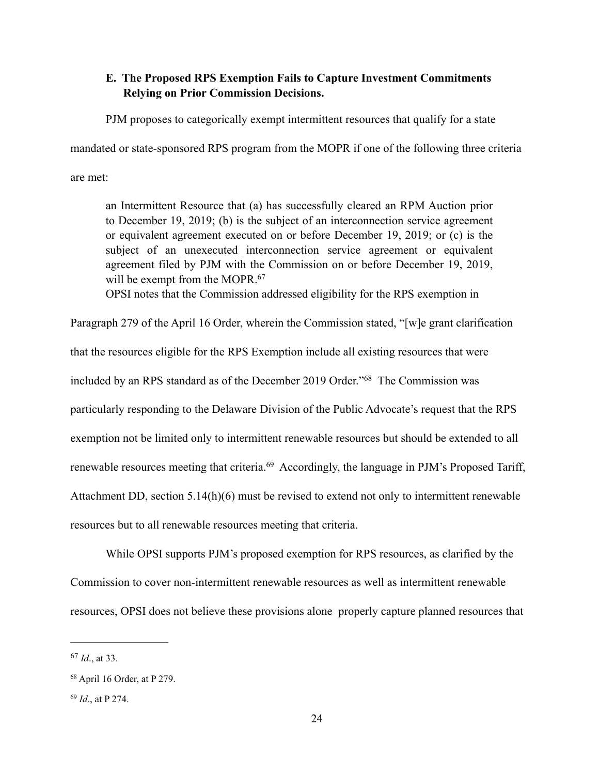## **E. The Proposed RPS Exemption Fails to Capture Investment Commitments Relying on Prior Commission Decisions.**

PJM proposes to categorically exempt intermittent resources that qualify for a state

mandated or state-sponsored RPS program from the MOPR if one of the following three criteria

are met:

an Intermittent Resource that (a) has successfully cleared an RPM Auction prior to December 19, 2019; (b) is the subject of an interconnection service agreement or equivalent agreement executed on or before December 19, 2019; or (c) is the subject of an unexecuted interconnection service agreement or equivalent agreement filed by PJM with the Commission on or before December 19, 2019, will be exempt from the MOPR.<sup>67</sup>

OPSI notes that the Commission addressed eligibility for the RPS exemption in

Paragraph 279 of the April 16 Order, wherein the Commission stated, "[w]e grant clarification that the resources eligible for the RPS Exemption include all existing resources that were included by an RPS standard as of the December 2019 Order."<sup>68</sup> The Commission was particularly responding to the Delaware Division of the Public Advocate's request that the RPS exemption not be limited only to intermittent renewable resources but should be extended to all renewable resources meeting that criteria.<sup>69</sup> Accordingly, the language in PJM's Proposed Tariff, Attachment DD, section  $5.14(h)(6)$  must be revised to extend not only to intermittent renewable resources but to all renewable resources meeting that criteria.

While OPSI supports PJM's proposed exemption for RPS resources, as clarified by the Commission to cover non-intermittent renewable resources as well as intermittent renewable resources, OPSI does not believe these provisions alone properly capture planned resources that

 $^{67}$  *Id.*, at 33.

<sup>&</sup>lt;sup>68</sup> April 16 Order, at P 279.

<sup>&</sup>lt;sup>69</sup> *Id.*, at P 274.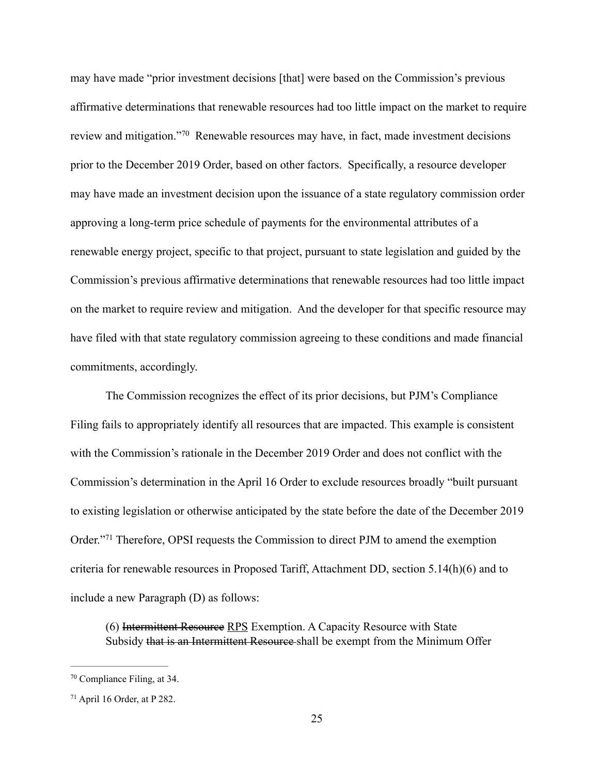may have made "prior investment decisions [that] were based on the Commission's previous affirmative determinations that renewable resources had too little impact on the market to require review and mitigation."<sup>70</sup> Renewable resources may have, in fact, made investment decisions prior to the December 2019 Order, based on other factors. Specifically, a resource developer may have made an investment decision upon the issuance of a state regulatory commission order approving a long-term price schedule of payments for the environmental attributes of a renewable energy project, specific to that project, pursuant to state legislation and guided by the Commission's previous affirmative determinations that renewable resources had too little impact on the market to require review and mitigation. And the developer for that specific resource may have filed with that state regulatory commission agreeing to these conditions and made financial commitments, accordingly.

The Commission recognizes the effect of its prior decisions, but PJM's Compliance Filing fails to appropriately identify all resources that are impacted. This example is consistent with the Commission's rationale in the December 2019 Order and does not conflict with the Commission's determination in the April 16 Order to exclude resources broadly "built pursuant to existing legislation or otherwise anticipated by the state before the date of the December 2019 Order."<sup>71</sup> Therefore, OPSI requests the Commission to direct PJM to amend the exemption criteria for renewable resources in Proposed Tariff, Attachment DD, section 5.14(h)(6) and to include a new Paragraph (D) as follows:

(6) Intermittent Resource RPS Exemption. A Capacity Resource with State Subsidy that is an Intermittent Resource-shall be exempt from the Minimum Offer

 $70$  Compliance Filing, at 34.

 $71$  April 16 Order, at P 282.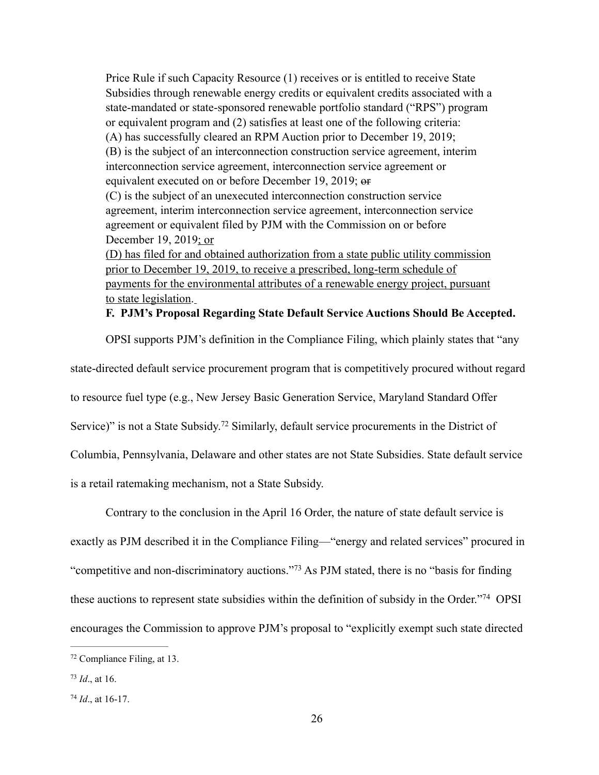Price Rule if such Capacity Resource (1) receives or is entitled to receive State Subsidies through renewable energy credits or equivalent credits associated with a state-mandated or state-sponsored renewable portfolio standard ("RPS") program or equivalent program and (2) satisfies at least one of the following criteria: (A) has successfully cleared an RPM Auction prior to December 19, 2019; (B) is the subject of an interconnection construction service agreement, interim interconnection service agreement, interconnection service agreement or equivalent executed on or before December 19, 2019; or (C) is the subject of an unexecuted interconnection construction service agreement, interim interconnection service agreement, interconnection service agreement or equivalent filed by PJM with the Commission on or before December 19, 2019; or (D) has filed for and obtained authorization from a state public utility commission prior to December 19, 2019, to receive a prescribed, long-term schedule of payments for the environmental attributes of a renewable energy project, pursuant

to state legislation.

**F. PJM's Proposal Regarding State Default Service Auctions Should Be Accepted.** 

OPSI supports PJM's definition in the Compliance Filing, which plainly states that "any

state-directed default service procurement program that is competitively procured without regard

to resource fuel type (e.g., New Jersey Basic Generation Service, Maryland Standard Offer

Service)" is not a State Subsidy.<sup>72</sup> Similarly, default service procurements in the District of

Columbia, Pennsylvania, Delaware and other states are not State Subsidies. State default service

is a retail ratemaking mechanism, not a State Subsidy.

Contrary to the conclusion in the April 16 Order, the nature of state default service is exactly as PJM described it in the Compliance Filing—"energy and related services" procured in "competitive and non-discriminatory auctions."<sup>73</sup> As PJM stated, there is no "basis for finding" these auctions to represent state subsidies within the definition of subsidy in the Order."<sup>74</sup> OPSI encourages the Commission to approve PJM's proposal to "explicitly exempt such state directed

 $72$  Compliance Filing, at 13.

 $73$  *Id.*, at 16.

 $74$  *Id.*, at 16-17.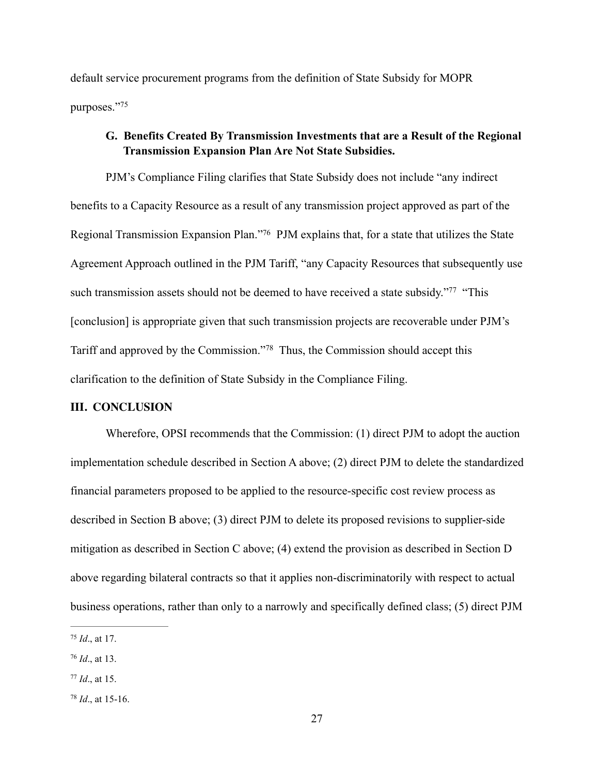default service procurement programs from the definition of State Subsidy for MOPR purposes."75

### **G. Benefits Created By Transmission Investments that are a Result of the Regional Transmission Expansion Plan Are Not State Subsidies.**

PJM's Compliance Filing clarifies that State Subsidy does not include "any indirect benefits to a Capacity Resource as a result of any transmission project approved as part of the Regional Transmission Expansion Plan."<sup>76</sup> PJM explains that, for a state that utilizes the State Agreement Approach outlined in the PJM Tariff, "any Capacity Resources that subsequently use such transmission assets should not be deemed to have received a state subsidy."<sup>77</sup> "This [conclusion] is appropriate given that such transmission projects are recoverable under PJM's Tariff and approved by the Commission."<sup>78</sup> Thus, the Commission should accept this clarification to the definition of State Subsidy in the Compliance Filing.

#### **III. CONCLUSION**

Wherefore, OPSI recommends that the Commission: (1) direct PJM to adopt the auction implementation schedule described in Section A above; (2) direct PJM to delete the standardized financial parameters proposed to be applied to the resource-specific cost review process as described in Section B above; (3) direct PJM to delete its proposed revisions to supplier-side mitigation as described in Section C above; (4) extend the provision as described in Section D above regarding bilateral contracts so that it applies non-discriminatorily with respect to actual business operations, rather than only to a narrowly and specifically defined class; (5) direct PJM

 $^{75}$  *Id.*, at 17.

 $76$  *Id.*, at 13.

 $77$  *Id.*, at 15.

 $^{78}$  *Id.*, at 15-16.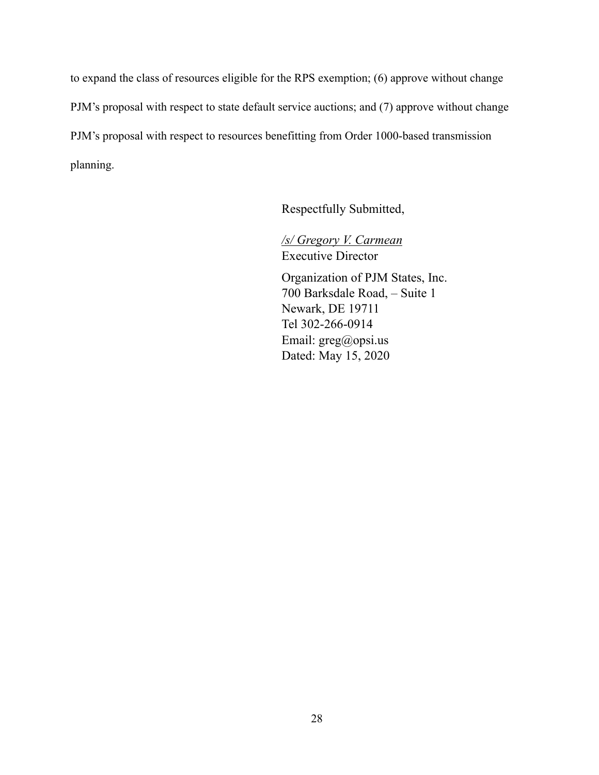to expand the class of resources eligible for the RPS exemption; (6) approve without change PJM's proposal with respect to state default service auctions; and (7) approve without change PJM's proposal with respect to resources benefitting from Order 1000-based transmission planning.

Respectfully Submitted,

 */s/ Gregory V. Carmean* Executive Director

 Organization of PJM States, Inc. 700 Barksdale Road, – Suite 1 Newark, DE 19711 Tel 302-266-0914 Email: greg@opsi.us Dated: May 15, 2020